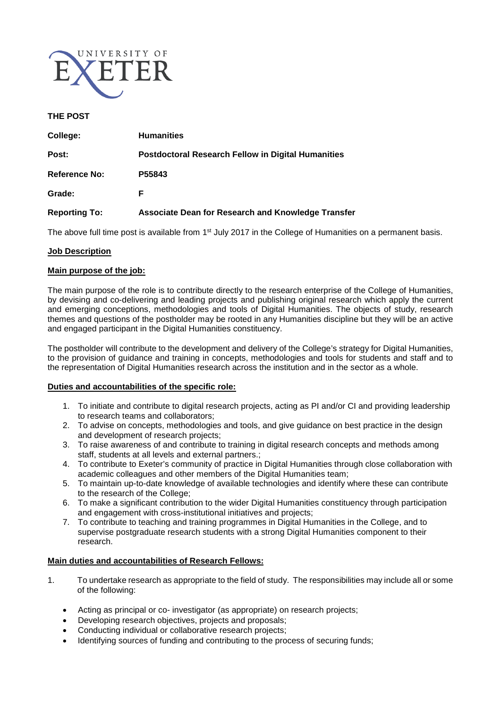

## **THE POST**

| College:             | <b>Humanities</b>                                         |
|----------------------|-----------------------------------------------------------|
| Post:                | <b>Postdoctoral Research Fellow in Digital Humanities</b> |
| <b>Reference No:</b> | P55843                                                    |
| Grade:               | F                                                         |
| <b>Reporting To:</b> | <b>Associate Dean for Research and Knowledge Transfer</b> |

The above full time post is available from 1<sup>st</sup> July 2017 in the College of Humanities on a permanent basis.

### **Job Description**

### **Main purpose of the job:**

The main purpose of the role is to contribute directly to the research enterprise of the College of Humanities, by devising and co-delivering and leading projects and publishing original research which apply the current and emerging conceptions, methodologies and tools of Digital Humanities. The objects of study, research themes and questions of the postholder may be rooted in any Humanities discipline but they will be an active and engaged participant in the Digital Humanities constituency.

The postholder will contribute to the development and delivery of the College's strategy for Digital Humanities, to the provision of guidance and training in concepts, methodologies and tools for students and staff and to the representation of Digital Humanities research across the institution and in the sector as a whole.

#### **Duties and accountabilities of the specific role:**

- 1. To initiate and contribute to digital research projects, acting as PI and/or CI and providing leadership to research teams and collaborators;
- 2. To advise on concepts, methodologies and tools, and give guidance on best practice in the design and development of research projects;
- 3. To raise awareness of and contribute to training in digital research concepts and methods among staff, students at all levels and external partners.;
- 4. To contribute to Exeter's community of practice in Digital Humanities through close collaboration with academic colleagues and other members of the Digital Humanities team;
- 5. To maintain up-to-date knowledge of available technologies and identify where these can contribute to the research of the College;
- 6. To make a significant contribution to the wider Digital Humanities constituency through participation and engagement with cross-institutional initiatives and projects;
- 7. To contribute to teaching and training programmes in Digital Humanities in the College, and to supervise postgraduate research students with a strong Digital Humanities component to their research.

#### **Main duties and accountabilities of Research Fellows:**

- 1. To undertake research as appropriate to the field of study. The responsibilities may include all or some of the following:
	- Acting as principal or co- investigator (as appropriate) on research projects;
	- Developing research objectives, projects and proposals;
	- Conducting individual or collaborative research projects;
	- Identifying sources of funding and contributing to the process of securing funds;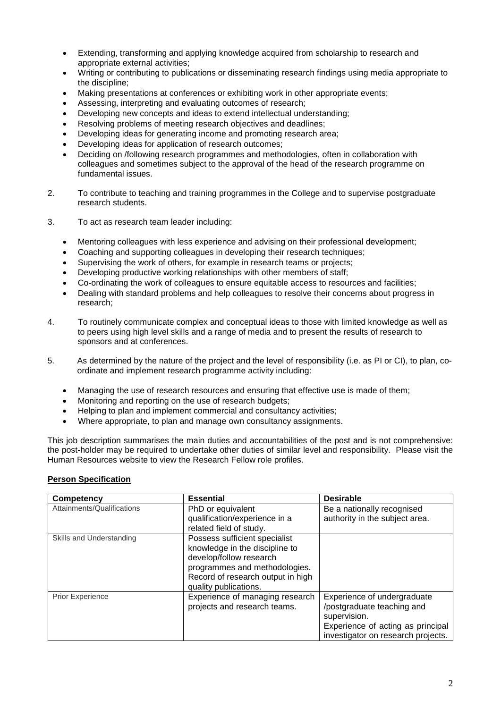- Extending, transforming and applying knowledge acquired from scholarship to research and appropriate external activities;
- Writing or contributing to publications or disseminating research findings using media appropriate to the discipline;
- Making presentations at conferences or exhibiting work in other appropriate events;
- Assessing, interpreting and evaluating outcomes of research;
- Developing new concepts and ideas to extend intellectual understanding;
- Resolving problems of meeting research objectives and deadlines;
- Developing ideas for generating income and promoting research area;
- Developing ideas for application of research outcomes;
- Deciding on /following research programmes and methodologies, often in collaboration with colleagues and sometimes subject to the approval of the head of the research programme on fundamental issues.
- 2. To contribute to teaching and training programmes in the College and to supervise postgraduate research students.
- 3. To act as research team leader including:
	- Mentoring colleagues with less experience and advising on their professional development;
	- Coaching and supporting colleagues in developing their research techniques;
	- Supervising the work of others, for example in research teams or projects;
	- Developing productive working relationships with other members of staff;
	- Co-ordinating the work of colleagues to ensure equitable access to resources and facilities;
	- Dealing with standard problems and help colleagues to resolve their concerns about progress in research;
- 4. To routinely communicate complex and conceptual ideas to those with limited knowledge as well as to peers using high level skills and a range of media and to present the results of research to sponsors and at conferences.
- 5. As determined by the nature of the project and the level of responsibility (i.e. as PI or CI), to plan, coordinate and implement research programme activity including:
	- Managing the use of research resources and ensuring that effective use is made of them;
	- Monitoring and reporting on the use of research budgets;
	- Helping to plan and implement commercial and consultancy activities:
	- Where appropriate, to plan and manage own consultancy assignments.

This job description summarises the main duties and accountabilities of the post and is not comprehensive: the post**-**holder may be required to undertake other duties of similar level and responsibility. Please visit the Human Resources website to view the Research Fellow role profiles.

# **Person Specification**

| Competency                 | <b>Essential</b>                                                                                                                                                                          | <b>Desirable</b>                                                                                                                                     |
|----------------------------|-------------------------------------------------------------------------------------------------------------------------------------------------------------------------------------------|------------------------------------------------------------------------------------------------------------------------------------------------------|
| Attainments/Qualifications | PhD or equivalent<br>qualification/experience in a<br>related field of study.                                                                                                             | Be a nationally recognised<br>authority in the subject area.                                                                                         |
| Skills and Understanding   | Possess sufficient specialist<br>knowledge in the discipline to<br>develop/follow research<br>programmes and methodologies.<br>Record of research output in high<br>quality publications. |                                                                                                                                                      |
| <b>Prior Experience</b>    | Experience of managing research<br>projects and research teams.                                                                                                                           | Experience of undergraduate<br>/postgraduate teaching and<br>supervision.<br>Experience of acting as principal<br>investigator on research projects. |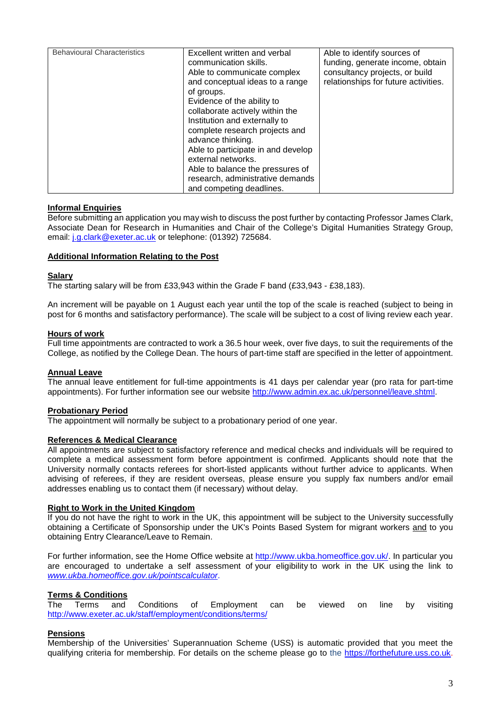| <b>Behavioural Characteristics</b> | Excellent written and verbal<br>communication skills.<br>Able to communicate complex<br>and conceptual ideas to a range<br>of groups.<br>Evidence of the ability to<br>collaborate actively within the<br>Institution and externally to<br>complete research projects and<br>advance thinking.<br>Able to participate in and develop<br>external networks.<br>Able to balance the pressures of | Able to identify sources of<br>funding, generate income, obtain<br>consultancy projects, or build<br>relationships for future activities. |
|------------------------------------|------------------------------------------------------------------------------------------------------------------------------------------------------------------------------------------------------------------------------------------------------------------------------------------------------------------------------------------------------------------------------------------------|-------------------------------------------------------------------------------------------------------------------------------------------|
|                                    |                                                                                                                                                                                                                                                                                                                                                                                                |                                                                                                                                           |
|                                    | research, administrative demands                                                                                                                                                                                                                                                                                                                                                               |                                                                                                                                           |
|                                    | and competing deadlines.                                                                                                                                                                                                                                                                                                                                                                       |                                                                                                                                           |

### **Informal Enquiries**

Before submitting an application you may wish to discuss the post further by contacting Professor James Clark, Associate Dean for Research in Humanities and Chair of the College's Digital Humanities Strategy Group, email: [j.g.clark@exeter.ac.uk](mailto:j.g.clark@exeter.ac.uk) or telephone: (01392) 725684.

### **Additional Information Relating to the Post**

#### **Salary**

The starting salary will be from £33,943 within the Grade F band (£33,943 - £38,183).

An increment will be payable on 1 August each year until the top of the scale is reached (subject to being in post for 6 months and satisfactory performance). The scale will be subject to a cost of living review each year.

### **Hours of work**

Full time appointments are contracted to work a 36.5 hour week, over five days, to suit the requirements of the College, as notified by the College Dean. The hours of part-time staff are specified in the letter of appointment.

# **Annual Leave**

The annual leave entitlement for full-time appointments is 41 days per calendar year (pro rata for part-time appointments). For further information see our website [http://www.admin.ex.ac.uk/personnel/leave.shtml.](http://www.admin.ex.ac.uk/personnel/leave.shtml)

#### **Probationary Period**

The appointment will normally be subject to a probationary period of one year.

#### **References & Medical Clearance**

All appointments are subject to satisfactory reference and medical checks and individuals will be required to complete a medical assessment form before appointment is confirmed. Applicants should note that the University normally contacts referees for short-listed applicants without further advice to applicants. When advising of referees, if they are resident overseas, please ensure you supply fax numbers and/or email addresses enabling us to contact them (if necessary) without delay.

#### **Right to Work in the United Kingdom**

If you do not have the right to work in the UK, this appointment will be subject to the University successfully obtaining a Certificate of Sponsorship under the UK's Points Based System for migrant workers and to you obtaining Entry Clearance/Leave to Remain.

For further information, see the Home Office website at [http://www.ukba.homeoffice.gov.uk/.](http://www.ukba.homeoffice.gov.uk/) In particular you are encouraged to undertake a self assessment of your eligibility to work in the UK using the link to *[www.ukba.homeoffice.gov.uk/pointscalculator](blocked::http://admin.exeter.ac.uk/personnel/international_staff/www.ukba.homeoffice.gov.uk/pointscalculator)*.

# **Terms & Conditions**

The Terms and Conditions of Employment can be viewed on line by visiting <http://www.exeter.ac.uk/staff/employment/conditions/terms/>

# **Pensions**

Membership of the Universities' Superannuation Scheme (USS) is automatic provided that you meet the qualifying criteria for membership. For details on the scheme please go to the [https://forthefuture.uss.co.uk.](https://forthefuture.uss.co.uk/)